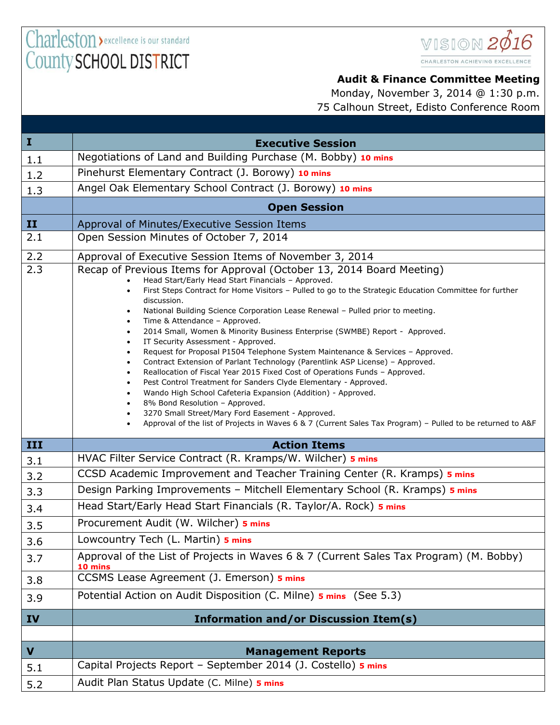

## **Audit & Finance Committee Meeting**

|                  | Monday, November 3, 2014 @ 1:30 p.m.                                                                                                                                                                                                                                                                                                                                                                                                                                                                                                                                                                                                                            |
|------------------|-----------------------------------------------------------------------------------------------------------------------------------------------------------------------------------------------------------------------------------------------------------------------------------------------------------------------------------------------------------------------------------------------------------------------------------------------------------------------------------------------------------------------------------------------------------------------------------------------------------------------------------------------------------------|
|                  | 75 Calhoun Street, Edisto Conference Room                                                                                                                                                                                                                                                                                                                                                                                                                                                                                                                                                                                                                       |
|                  |                                                                                                                                                                                                                                                                                                                                                                                                                                                                                                                                                                                                                                                                 |
| I                | <b>Executive Session</b>                                                                                                                                                                                                                                                                                                                                                                                                                                                                                                                                                                                                                                        |
| $1.1\,$          | Negotiations of Land and Building Purchase (M. Bobby) 10 mins                                                                                                                                                                                                                                                                                                                                                                                                                                                                                                                                                                                                   |
| $1.2\,$          | Pinehurst Elementary Contract (J. Borowy) 10 mins                                                                                                                                                                                                                                                                                                                                                                                                                                                                                                                                                                                                               |
| 1.3              | Angel Oak Elementary School Contract (J. Borowy) 10 mins                                                                                                                                                                                                                                                                                                                                                                                                                                                                                                                                                                                                        |
|                  | <b>Open Session</b>                                                                                                                                                                                                                                                                                                                                                                                                                                                                                                                                                                                                                                             |
| $\mathbf{II}$    | Approval of Minutes/Executive Session Items                                                                                                                                                                                                                                                                                                                                                                                                                                                                                                                                                                                                                     |
| $\overline{2.1}$ | Open Session Minutes of October 7, 2014                                                                                                                                                                                                                                                                                                                                                                                                                                                                                                                                                                                                                         |
| 2.2              | Approval of Executive Session Items of November 3, 2014                                                                                                                                                                                                                                                                                                                                                                                                                                                                                                                                                                                                         |
| $\overline{2.3}$ | Recap of Previous Items for Approval (October 13, 2014 Board Meeting)<br>Head Start/Early Head Start Financials - Approved.<br>First Steps Contract for Home Visitors - Pulled to go to the Strategic Education Committee for further<br>discussion.<br>National Building Science Corporation Lease Renewal - Pulled prior to meeting.<br>Time & Attendance - Approved.<br>2014 Small, Women & Minority Business Enterprise (SWMBE) Report - Approved.<br>IT Security Assessment - Approved.<br>Request for Proposal P1504 Telephone System Maintenance & Services - Approved.<br>Contract Extension of Parlant Technology (Parentlink ASP License) - Approved. |

- Reallocation of Fiscal Year 2015 Fixed Cost of Operations Funds Approved.
- Pest Control Treatment for Sanders Clyde Elementary Approved.
- Wando High School Cafeteria Expansion (Addition) Approved.
- 8% Bond Resolution Approved.
	- 3270 Small Street/Mary Ford Easement Approved.
- Approval of the list of Projects in Waves 6 & 7 (Current Sales Tax Program) Pulled to be returned to A&F

| III                     | <b>Action Items</b>                                                                               |
|-------------------------|---------------------------------------------------------------------------------------------------|
|                         |                                                                                                   |
| 3.1                     | HVAC Filter Service Contract (R. Kramps/W. Wilcher) 5 mins                                        |
| 3.2                     | CCSD Academic Improvement and Teacher Training Center (R. Kramps) 5 mins                          |
| 3.3                     | Design Parking Improvements - Mitchell Elementary School (R. Kramps) 5 mins                       |
| 3.4                     | Head Start/Early Head Start Financials (R. Taylor/A. Rock) 5 mins                                 |
| 3.5                     | Procurement Audit (W. Wilcher) 5 mins                                                             |
| 3.6                     | Lowcountry Tech (L. Martin) 5 mins                                                                |
| 3.7                     | Approval of the List of Projects in Waves 6 & 7 (Current Sales Tax Program) (M. Bobby)<br>10 mins |
| 3.8                     | CCSMS Lease Agreement (J. Emerson) 5 mins                                                         |
| 3.9                     | Potential Action on Audit Disposition (C. Milne) <b>5 mins</b> (See 5.3)                          |
| IV                      | <b>Information and/or Discussion Item(s)</b>                                                      |
|                         |                                                                                                   |
| $\overline{\mathbf{v}}$ | <b>Management Reports</b>                                                                         |
| 5.1                     | Capital Projects Report - September 2014 (J. Costello) 5 mins                                     |
| 5.2                     | Audit Plan Status Update (C. Milne) 5 mins                                                        |